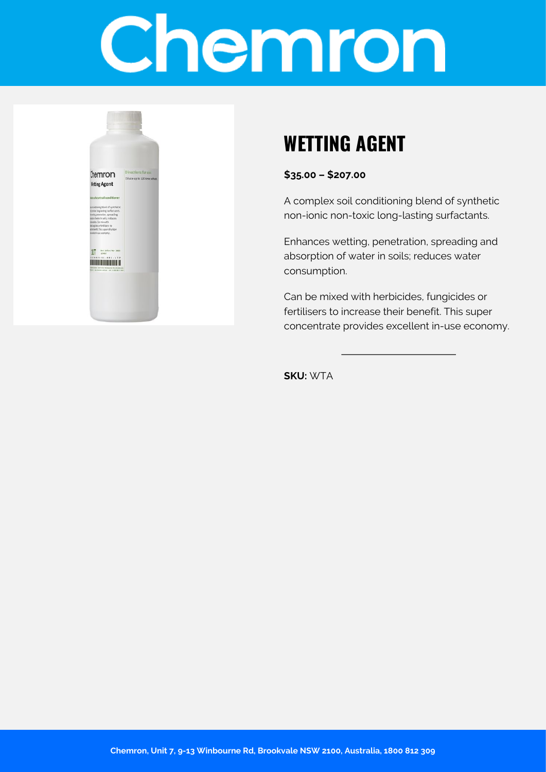# Chemron



### **WETTING AGENT**

**\$35.00 – \$207.00**

A complex soil conditioning blend of synthetic non-ionic non-toxic long-lasting surfactants.

Enhances wetting, penetration, spreading and absorption of water in soils; reduces water consumption.

Can be mixed with herbicides, fungicides or fertilisers to increase their benefit. This super concentrate provides excellent in-use economy.

**SKU:** WTA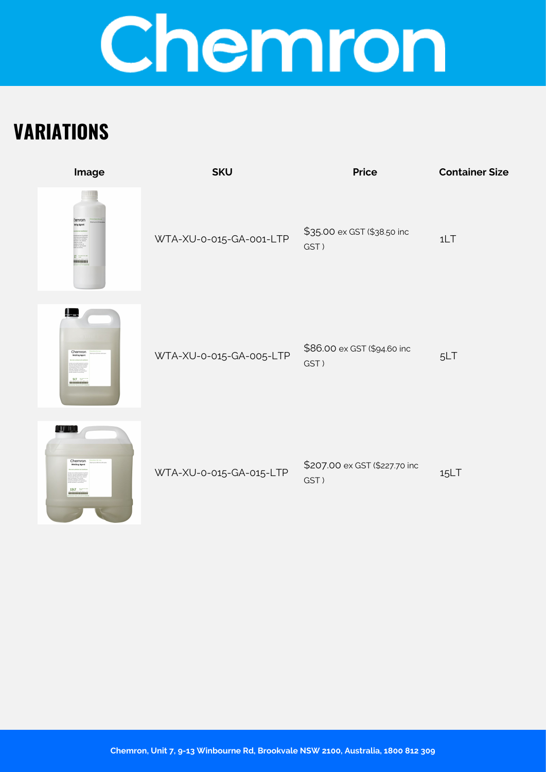## Chemron

## **VARIATIONS**

| Image                                               | <b>SKU</b>              | <b>Price</b>                          | <b>Container Size</b> |
|-----------------------------------------------------|-------------------------|---------------------------------------|-----------------------|
| Themron<br>Isting Agent<br>$\prod_{i=1}^n$<br>monon | WTA-XU-0-015-GA-001-LTP | \$35.00 ex GST (\$38.50 inc<br>GST)   | 1LT                   |
| ļ.<br>Chemron<br>Wetting Ap<br>$SLT =$<br>          | WTA-XU-0-015-GA-005-LTP | \$86.00 ex GST (\$94.60 inc<br>GST)   | 5LT                   |
| <u>a Timb</u><br>Chemron<br>$15LT$ =<br>            | WTA-XU-0-015-GA-015-LTP | \$207.00 ex GST (\$227.70 inc<br>GST) | 15LT                  |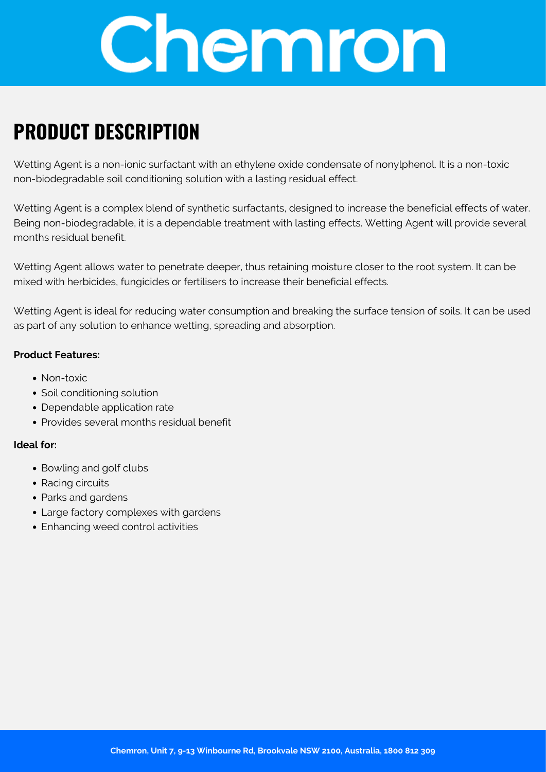

### **PRODUCT DESCRIPTION**

Wetting Agent is a non-ionic surfactant with an ethylene oxide condensate of nonylphenol. It is a non-toxic non-biodegradable soil conditioning solution with a lasting residual effect.

Wetting Agent is a complex blend of synthetic surfactants, designed to increase the beneficial effects of water. Being non-biodegradable, it is a dependable treatment with lasting effects. Wetting Agent will provide several months residual benefit.

Wetting Agent allows water to penetrate deeper, thus retaining moisture closer to the root system. It can be mixed with herbicides, fungicides or fertilisers to increase their beneficial effects.

Wetting Agent is ideal for reducing water consumption and breaking the surface tension of soils. It can be used as part of any solution to enhance wetting, spreading and absorption.

#### **Product Features:**

- Non-toxic
- Soil conditioning solution
- Dependable application rate
- Provides several months residual benefit

#### **Ideal for:**

- Bowling and golf clubs
- Racing circuits
- Parks and gardens
- Large factory complexes with gardens
- Enhancing weed control activities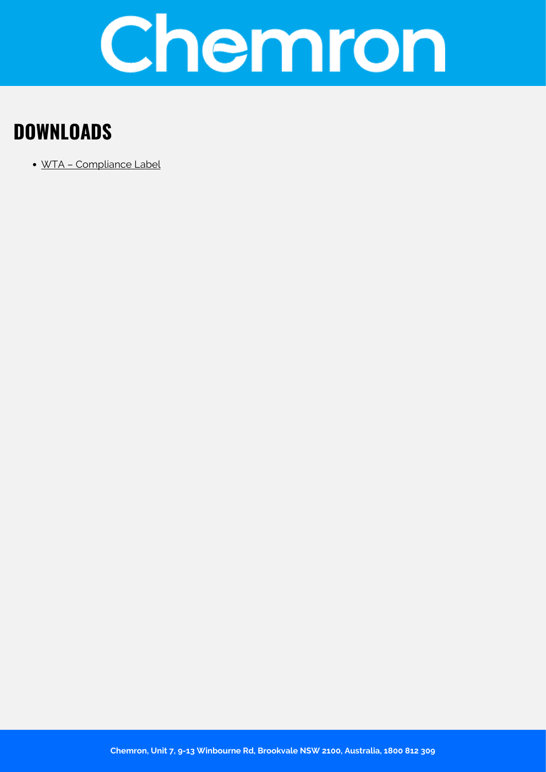

### **DOWNLOADS**

[WTA – Compliance Label](https://chemron.com.au/product-label/WTA - Compliance Label.pdf)